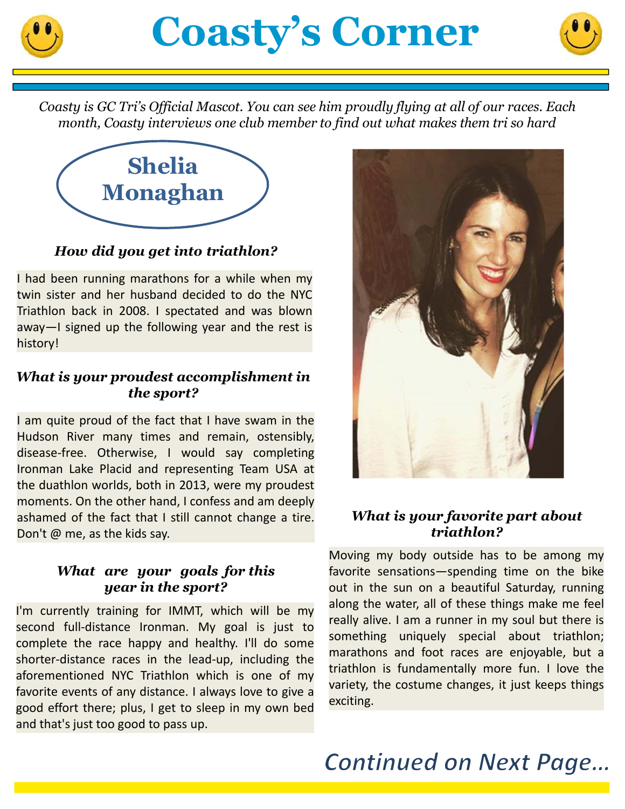



*Coasty is GC Tri's Official Mascot. You can see him proudly flying at all of our races. Each month, Coasty interviews one club member to find out what makes them tri so hard*



## *How did you get into triathlon?*

I had been running marathons for a while when my twin sister and her husband decided to do the NYC Triathlon back in 2008. I spectated and was blown away—I signed up the following year and the rest is history!

### *What is your proudest accomplishment in the sport?*

I am quite proud of the fact that I have swam in the Hudson River many times and remain, ostensibly, disease-free. Otherwise, I would say completing Ironman Lake Placid and representing Team USA at the duathlon worlds, both in 2013, were my proudest moments. On the other hand, I confess and am deeply ashamed of the fact that I still cannot change a tire. Don't @ me, as the kids say.

### *What are your goals for this year in the sport?*

I'm currently training for IMMT, which will be my second full-distance Ironman. My goal is just to complete the race happy and healthy. I'll do some shorter-distance races in the lead-up, including the aforementioned NYC Triathlon which is one of my favorite events of any distance. I always love to give a good effort there; plus, I get to sleep in my own bed and that's just too good to pass up.



### *What is your favorite part about triathlon?*

Moving my body outside has to be among my favorite sensations—spending time on the bike out in the sun on a beautiful Saturday, running along the water, all of these things make me feel really alive. I am a runner in my soul but there is something uniquely special about triathlon; marathons and foot races are enjoyable, but a triathlon is fundamentally more fun. I love the variety, the costume changes, it just keeps things exciting.

# **Continued on Next Page...**